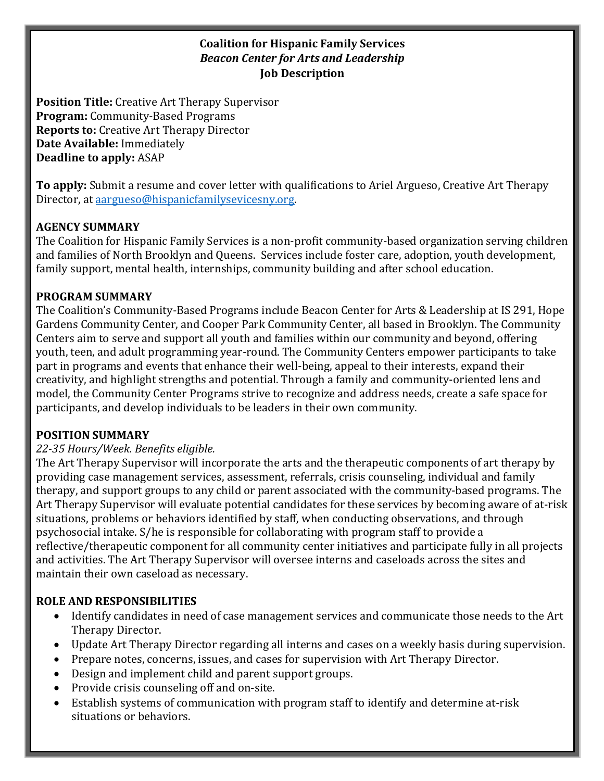### **Coalition for Hispanic Family Services Beacon Center for Arts and Leadership Job Description**

**Position Title:** Creative Art Therapy Supervisor **Program:** Community-Based Programs **Reports to:** Creative Art Therapy Director **Date Available:** Immediately **Deadline to apply:** ASAP

**To apply:** Submit a resume and cover letter with qualifications to Ariel Argueso, Creative Art Therapy Director, at aargueso@hispanicfamilysevicesny.org.

#### **AGENCY SUMMARY**

The Coalition for Hispanic Family Services is a non-profit community-based organization serving children and families of North Brooklyn and Queens. Services include foster care, adoption, youth development, family support, mental health, internships, community building and after school education.

#### **PROGRAM SUMMARY**

The Coalition's Community-Based Programs include Beacon Center for Arts & Leadership at IS 291, Hope Gardens Community Center, and Cooper Park Community Center, all based in Brooklyn. The Community Centers aim to serve and support all youth and families within our community and beyond, offering youth, teen, and adult programming year-round. The Community Centers empower participants to take part in programs and events that enhance their well-being, appeal to their interests, expand their creativity, and highlight strengths and potential. Through a family and community-oriented lens and model, the Community Center Programs strive to recognize and address needs, create a safe space for participants, and develop individuals to be leaders in their own community.

#### **POSITION SUMMARY**

#### *22-35 Hours/Week. Benefits eligible.*

The Art Therapy Supervisor will incorporate the arts and the therapeutic components of art therapy by providing case management services, assessment, referrals, crisis counseling, individual and family therapy, and support groups to any child or parent associated with the community-based programs. The Art Therapy Supervisor will evaluate potential candidates for these services by becoming aware of at-risk situations, problems or behaviors identified by staff, when conducting observations, and through psychosocial intake. S/he is responsible for collaborating with program staff to provide a reflective/therapeutic component for all community center initiatives and participate fully in all projects and activities. The Art Therapy Supervisor will oversee interns and caseloads across the sites and maintain their own caseload as necessary.

### **ROLE AND RESPONSIBILITIES**

- Identify candidates in need of case management services and communicate those needs to the Art Therapy Director.
- Update Art Therapy Director regarding all interns and cases on a weekly basis during supervision.
- Prepare notes, concerns, issues, and cases for supervision with Art Therapy Director.
- Design and implement child and parent support groups.
- Provide crisis counseling off and on-site.
- Establish systems of communication with program staff to identify and determine at-risk situations or behaviors.